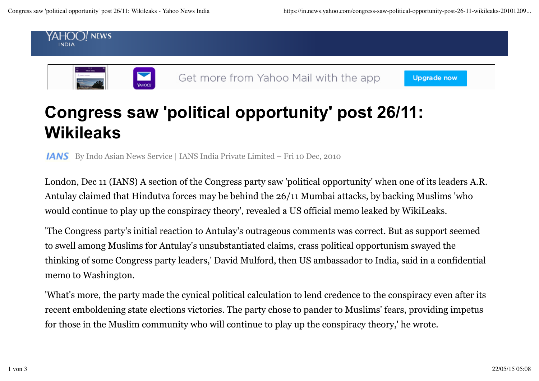

## **Congress saw 'political opportunity' post 26/11: Wikileaks**

By Indo Asian News Service | IANS India Private Limited – Fri 10 Dec, 2010

London, Dec 11 (IANS) A section of the Congress party saw 'political opportunity' when one of its leaders A.R. Antulay claimed that Hindutva forces may be behind the 26/11 Mumbai attacks, by backing Muslims 'who would continue to play up the conspiracy theory', revealed a US official memo leaked by WikiLeaks.

'The Congress party's initial reaction to Antulay's outrageous comments was correct. But as support seemed to swell among Muslims for Antulay's unsubstantiated claims, crass political opportunism swayed the thinking of some Congress party leaders,' David Mulford, then US ambassador to India, said in a confidential memo to Washington.

'What's more, the party made the cynical political calculation to lend credence to the conspiracy even after its recent emboldening state elections victories. The party chose to pander to Muslims' fears, providing impetus for those in the Muslim community who will continue to play up the conspiracy theory,' he wrote.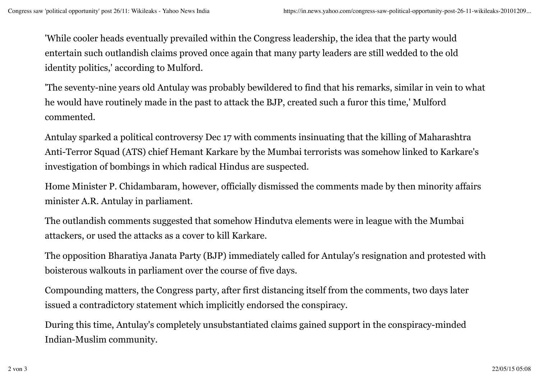'While cooler heads eventually prevailed within the Congress leadership, the idea that the party would entertain such outlandish claims proved once again that many party leaders are still wedded to the old identity politics,' according to Mulford.

'The seventy-nine years old Antulay was probably bewildered to find that his remarks, similar in vein to what he would have routinely made in the past to attack the BJP, created such a furor this time,' Mulford commented.

Antulay sparked a political controversy Dec 17 with comments insinuating that the killing of Maharashtra Anti-Terror Squad (ATS) chief Hemant Karkare by the Mumbai terrorists was somehow linked to Karkare's investigation of bombings in which radical Hindus are suspected.

Home Minister P. Chidambaram, however, officially dismissed the comments made by then minority affairs minister A.R. Antulay in parliament.

The outlandish comments suggested that somehow Hindutva elements were in league with the Mumbai attackers, or used the attacks as a cover to kill Karkare.

The opposition Bharatiya Janata Party (BJP) immediately called for Antulay's resignation and protested with boisterous walkouts in parliament over the course of five days.

Compounding matters, the Congress party, after first distancing itself from the comments, two days later issued a contradictory statement which implicitly endorsed the conspiracy.

During this time, Antulay's completely unsubstantiated claims gained support in the conspiracy-minded Indian-Muslim community.